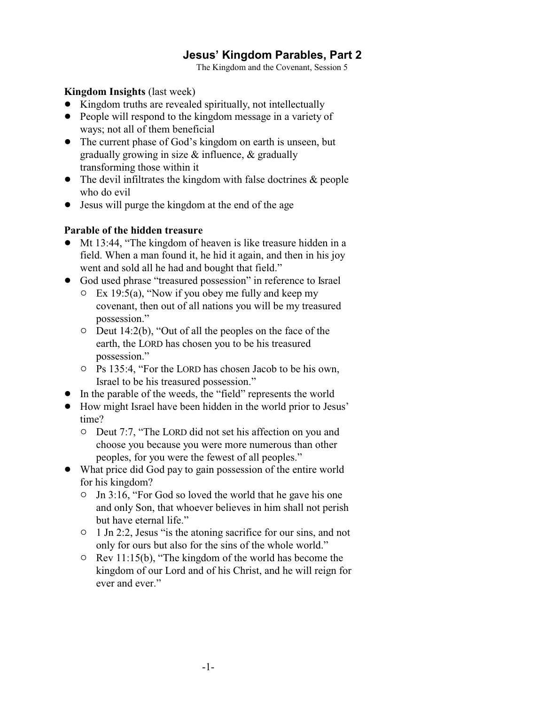# **Jesus' Kingdom Parables, Part 2**

The Kingdom and the Covenant, Session 5

**Kingdom Insights** (last week)

- Kingdom truths are revealed spiritually, not intellectually
- People will respond to the kingdom message in a variety of ways; not all of them beneficial
- The current phase of God's kingdom on earth is unseen, but gradually growing in size & influence, & gradually transforming those within it
- The devil infiltrates the kingdom with false doctrines & people who do evil
- Jesus will purge the kingdom at the end of the age

#### **Parable of the hidden treasure**

- Mt 13:44, "The kingdom of heaven is like treasure hidden in a field. When a man found it, he hid it again, and then in his joy went and sold all he had and bought that field."
- God used phrase "treasured possession" in reference to Israel
	- $\circ$  Ex 19:5(a), "Now if you obey me fully and keep my covenant, then out of all nations you will be my treasured possession."
	- $\circ$  Deut 14:2(b), "Out of all the peoples on the face of the earth, the LORD has chosen you to be his treasured possession."
	- $\circ$  Ps 135:4, "For the LORD has chosen Jacob to be his own, Israel to be his treasured possession."
- In the parable of the weeds, the "field" represents the world
- ! How might Israel have been hidden in the world prior to Jesus' time?
	- $\circ$  Deut 7:7, "The LORD did not set his affection on you and choose you because you were more numerous than other peoples, for you were the fewest of all peoples."
- What price did God pay to gain possession of the entire world for his kingdom?
	- $\circ$  Jn 3:16, "For God so loved the world that he gave his one and only Son, that whoever believes in him shall not perish but have eternal life."
	- <sup>o</sup> 1 Jn 2:2, Jesus "is the atoning sacrifice for our sins, and not only for ours but also for the sins of the whole world."
	- $\circ$  Rev 11:15(b), "The kingdom of the world has become the kingdom of our Lord and of his Christ, and he will reign for ever and ever."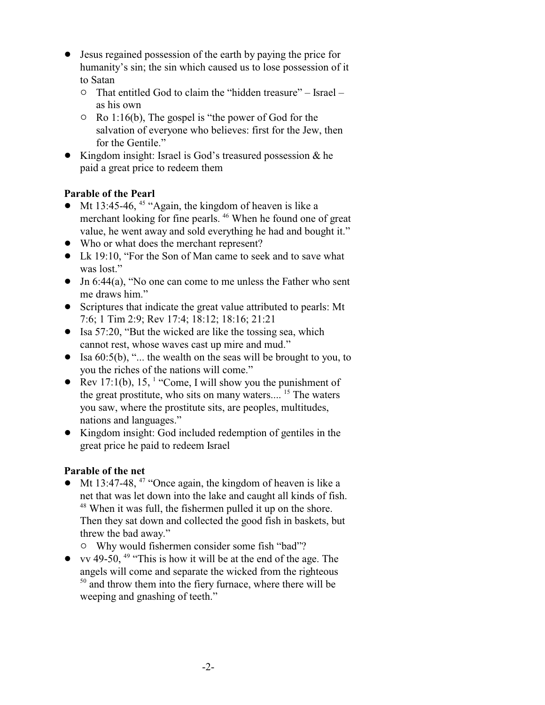- ! Jesus regained possession of the earth by paying the price for humanity's sin; the sin which caused us to lose possession of it to Satan
	- $\circ$  That entitled God to claim the "hidden treasure" Israel as his own
	- $\circ$  Ro 1:16(b), The gospel is "the power of God for the salvation of everyone who believes: first for the Jew, then for the Gentile."
- Kingdom insight: Israel is God's treasured possession & he paid a great price to redeem them

## **Parable of the Pearl**

- Mt 13:45-46,  $45 \text{``Again, the kingdom of heaven is like a}$ merchant looking for fine pearls.<sup>46</sup> When he found one of great value, he went away and sold everything he had and bought it."
- Who or what does the merchant represent?
- Lk 19:10, "For the Son of Man came to seek and to save what was lost."
- Jn 6:44(a), "No one can come to me unless the Father who sent me draws him."
- ! Scriptures that indicate the great value attributed to pearls: Mt 7:6; 1 Tim 2:9; Rev 17:4; 18:12; 18:16; 21:21
- $\bullet$  Isa 57:20, "But the wicked are like the tossing sea, which cannot rest, whose waves cast up mire and mud."
- Isa  $60:5(b)$ , "... the wealth on the seas will be brought to you, to you the riches of the nations will come."
- Rev 17:1(b), 15,  $\frac{1}{2}$  "Come, I will show you the punishment of the great prostitute, who sits on many waters....<sup>15</sup> The waters you saw, where the prostitute sits, are peoples, multitudes, nations and languages."
- ! Kingdom insight: God included redemption of gentiles in the great price he paid to redeem Israel

## **Parable of the net**

- $\bullet$  Mt 13:47-48, <sup>47</sup> "Once again, the kingdom of heaven is like a net that was let down into the lake and caught all kinds of fish. <sup>48</sup> When it was full, the fishermen pulled it up on the shore. Then they sat down and collected the good fish in baskets, but threw the bad away."
	- $\circ$  Why would fishermen consider some fish "bad"?
- vv 49-50,  $49$  "This is how it will be at the end of the age. The angels will come and separate the wicked from the righteous <sup>50</sup> and throw them into the fiery furnace, where there will be weeping and gnashing of teeth."